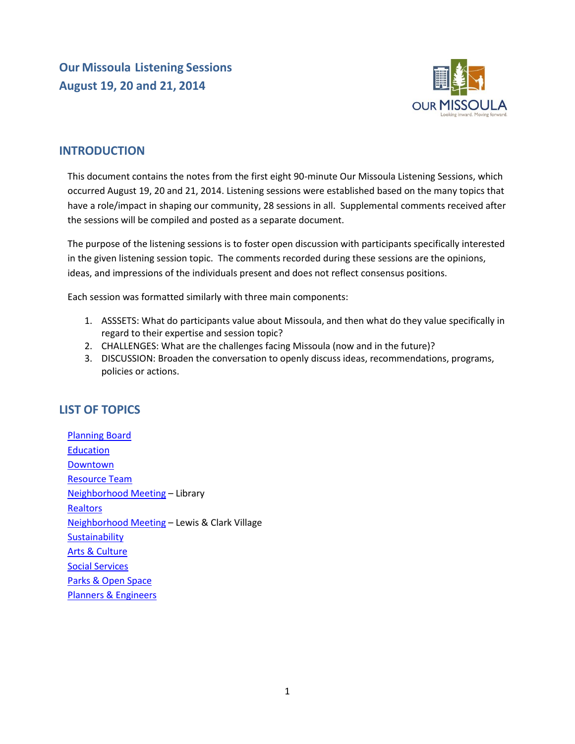**Our Missoula Listening Sessions August 19, 20 and 21, 2014**



# **INTRODUCTION**

This document contains the notes from the first eight 90-minute Our Missoula Listening Sessions, which occurred August 19, 20 and 21, 2014. Listening sessions were established based on the many topics that have a role/impact in shaping our community, 28 sessions in all. Supplemental comments received after the sessions will be compiled and posted as a separate document.

The purpose of the listening sessions is to foster open discussion with participants specifically interested in the given listening session topic. The comments recorded during these sessions are the opinions, ideas, and impressions of the individuals present and does not reflect consensus positions.

Each session was formatted similarly with three main components:

- 1. ASSSETS: What do participants value about Missoula, and then what do they value specifically in regard to their expertise and session topic?
- 2. CHALLENGES: What are the challenges facing Missoula (now and in the future)?
- 3. DISCUSSION: Broaden the conversation to openly discuss ideas, recommendations, programs, policies or actions.

# <span id="page-0-0"></span>**LIST OF TOPICS**

[Planning Board](#page-1-0) **[Education](#page-4-0)** [Downtown](#page-7-0) [Resource Team](#page-10-0) [Neighborhood Meeting](#page-13-0) – Library **[Realtors](#page-15-0)** [Neighborhood Meeting](#page-18-0) – Lewis & Clark Village **[Sustainability](#page-18-1)** [Arts & Culture](#page-22-0) [Social Services](#page-24-0) [Parks & Open Space](#page-26-0) [Planners & Engineers](#page-29-0)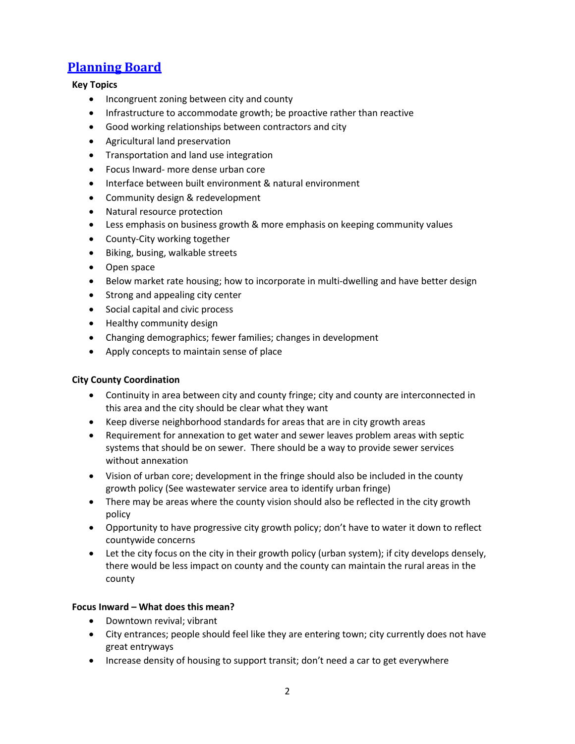# <span id="page-1-0"></span>**[Planning Board](#page-0-0)**

# **Key Topics**

- Incongruent zoning between city and county
- Infrastructure to accommodate growth; be proactive rather than reactive
- Good working relationships between contractors and city
- Agricultural land preservation
- **•** Transportation and land use integration
- Focus Inward- more dense urban core
- Interface between built environment & natural environment
- Community design & redevelopment
- Natural resource protection
- Less emphasis on business growth & more emphasis on keeping community values
- County-City working together
- Biking, busing, walkable streets
- Open space
- Below market rate housing; how to incorporate in multi-dwelling and have better design
- Strong and appealing city center
- Social capital and civic process
- Healthy community design
- Changing demographics; fewer families; changes in development
- Apply concepts to maintain sense of place

# **City County Coordination**

- Continuity in area between city and county fringe; city and county are interconnected in this area and the city should be clear what they want
- Keep diverse neighborhood standards for areas that are in city growth areas
- Requirement for annexation to get water and sewer leaves problem areas with septic systems that should be on sewer. There should be a way to provide sewer services without annexation
- Vision of urban core; development in the fringe should also be included in the county growth policy (See wastewater service area to identify urban fringe)
- There may be areas where the county vision should also be reflected in the city growth policy
- Opportunity to have progressive city growth policy; don't have to water it down to reflect countywide concerns
- Let the city focus on the city in their growth policy (urban system); if city develops densely, there would be less impact on county and the county can maintain the rural areas in the county

# **Focus Inward – What does this mean?**

- Downtown revival; vibrant
- City entrances; people should feel like they are entering town; city currently does not have great entryways
- Increase density of housing to support transit; don't need a car to get everywhere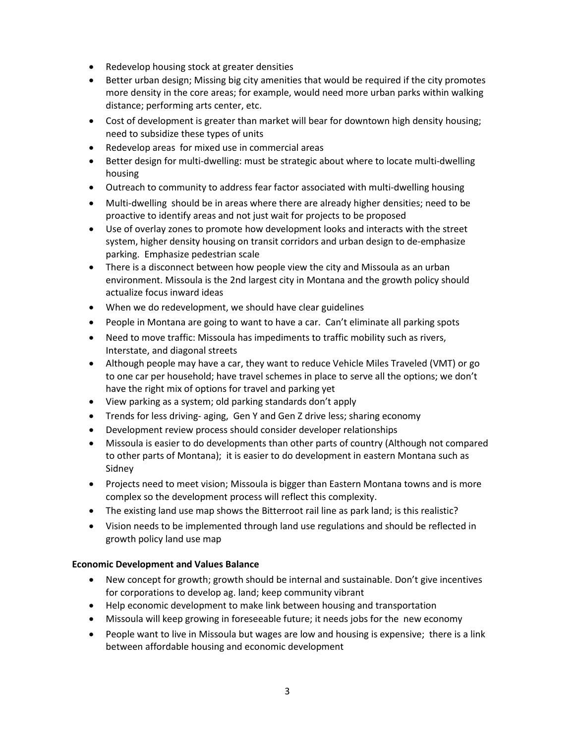- Redevelop housing stock at greater densities
- Better urban design; Missing big city amenities that would be required if the city promotes more density in the core areas; for example, would need more urban parks within walking distance; performing arts center, etc.
- Cost of development is greater than market will bear for downtown high density housing; need to subsidize these types of units
- Redevelop areas for mixed use in commercial areas
- Better design for multi-dwelling: must be strategic about where to locate multi-dwelling housing
- Outreach to community to address fear factor associated with multi-dwelling housing
- Multi-dwelling should be in areas where there are already higher densities; need to be proactive to identify areas and not just wait for projects to be proposed
- Use of overlay zones to promote how development looks and interacts with the street system, higher density housing on transit corridors and urban design to de-emphasize parking. Emphasize pedestrian scale
- There is a disconnect between how people view the city and Missoula as an urban environment. Missoula is the 2nd largest city in Montana and the growth policy should actualize focus inward ideas
- When we do redevelopment, we should have clear guidelines
- People in Montana are going to want to have a car. Can't eliminate all parking spots
- Need to move traffic: Missoula has impediments to traffic mobility such as rivers, Interstate, and diagonal streets
- Although people may have a car, they want to reduce Vehicle Miles Traveled (VMT) or go to one car per household; have travel schemes in place to serve all the options; we don't have the right mix of options for travel and parking yet
- View parking as a system; old parking standards don't apply
- Trends for less driving- aging, Gen Y and Gen Z drive less; sharing economy
- Development review process should consider developer relationships
- Missoula is easier to do developments than other parts of country (Although not compared to other parts of Montana); it is easier to do development in eastern Montana such as Sidney
- Projects need to meet vision; Missoula is bigger than Eastern Montana towns and is more complex so the development process will reflect this complexity.
- The existing land use map shows the Bitterroot rail line as park land; is this realistic?
- Vision needs to be implemented through land use regulations and should be reflected in growth policy land use map

#### **Economic Development and Values Balance**

- New concept for growth; growth should be internal and sustainable. Don't give incentives for corporations to develop ag. land; keep community vibrant
- Help economic development to make link between housing and transportation
- Missoula will keep growing in foreseeable future; it needs jobs for the new economy
- People want to live in Missoula but wages are low and housing is expensive; there is a link between affordable housing and economic development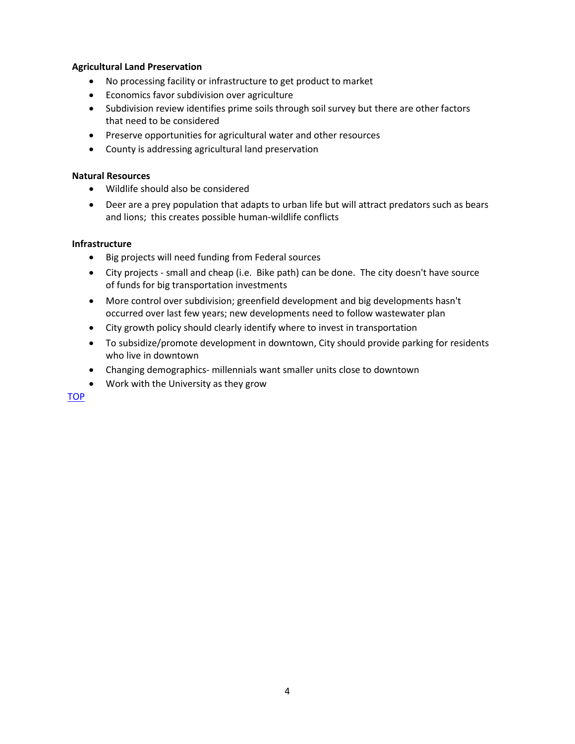#### **Agricultural Land Preservation**

- No processing facility or infrastructure to get product to market
- Economics favor subdivision over agriculture
- Subdivision review identifies prime soils through soil survey but there are other factors that need to be considered
- Preserve opportunities for agricultural water and other resources
- County is addressing agricultural land preservation

#### **Natural Resources**

- Wildlife should also be considered
- Deer are a prey population that adapts to urban life but will attract predators such as bears and lions; this creates possible human-wildlife conflicts

#### **Infrastructure**

- Big projects will need funding from Federal sources
- City projects small and cheap (i.e. Bike path) can be done. The city doesn't have source of funds for big transportation investments
- More control over subdivision; greenfield development and big developments hasn't occurred over last few years; new developments need to follow wastewater plan
- City growth policy should clearly identify where to invest in transportation
- To subsidize/promote development in downtown, City should provide parking for residents who live in downtown
- Changing demographics- millennials want smaller units close to downtown
- Work with the University as they grow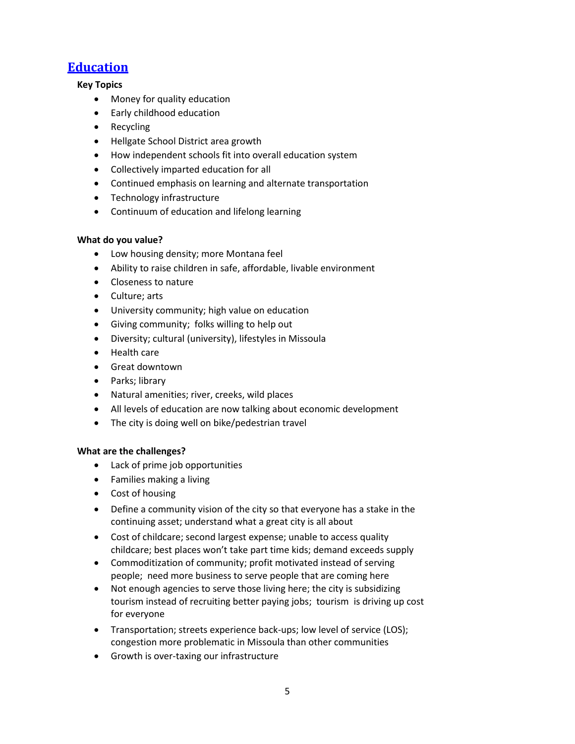# **[Education](#page-0-0)**

# <span id="page-4-0"></span>**Key Topics**

- Money for quality education
- Early childhood education
- Recycling
- Hellgate School District area growth
- How independent schools fit into overall education system
- Collectively imparted education for all
- Continued emphasis on learning and alternate transportation
- Technology infrastructure
- Continuum of education and lifelong learning

# **What do you value?**

- Low housing density; more Montana feel
- Ability to raise children in safe, affordable, livable environment
- Closeness to nature
- Culture; arts
- University community; high value on education
- Giving community; folks willing to help out
- Diversity; cultural (university), lifestyles in Missoula
- Health care
- Great downtown
- Parks; library
- Natural amenities; river, creeks, wild places
- All levels of education are now talking about economic development
- The city is doing well on bike/pedestrian travel

- Lack of prime job opportunities
- Families making a living
- Cost of housing
- Define a community vision of the city so that everyone has a stake in the continuing asset; understand what a great city is all about
- Cost of childcare; second largest expense; unable to access quality childcare; best places won't take part time kids; demand exceeds supply
- Commoditization of community; profit motivated instead of serving people; need more business to serve people that are coming here
- Not enough agencies to serve those living here; the city is subsidizing tourism instead of recruiting better paying jobs; tourism is driving up cost for everyone
- Transportation; streets experience back-ups; low level of service (LOS); congestion more problematic in Missoula than other communities
- Growth is over-taxing our infrastructure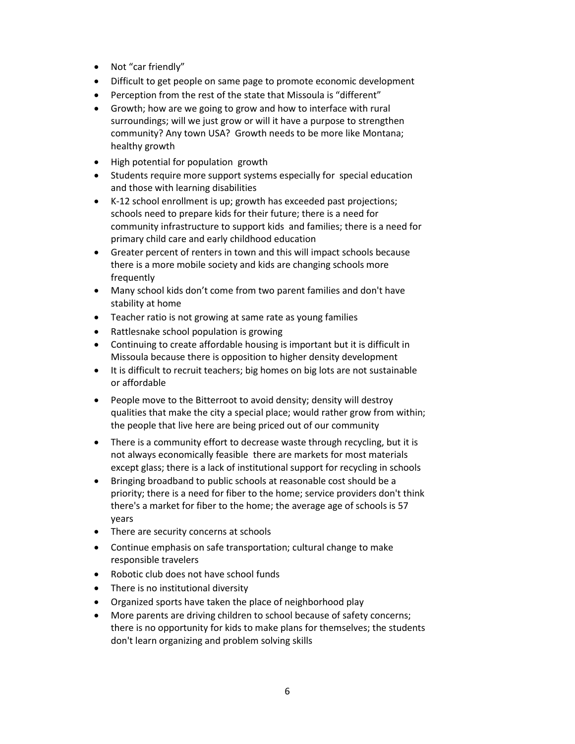- Not "car friendly"
- Difficult to get people on same page to promote economic development
- Perception from the rest of the state that Missoula is "different"
- Growth; how are we going to grow and how to interface with rural surroundings; will we just grow or will it have a purpose to strengthen community? Any town USA? Growth needs to be more like Montana; healthy growth
- High potential for population growth
- Students require more support systems especially for special education and those with learning disabilities
- K-12 school enrollment is up; growth has exceeded past projections; schools need to prepare kids for their future; there is a need for community infrastructure to support kids and families; there is a need for primary child care and early childhood education
- Greater percent of renters in town and this will impact schools because there is a more mobile society and kids are changing schools more frequently
- Many school kids don't come from two parent families and don't have stability at home
- Teacher ratio is not growing at same rate as young families
- Rattlesnake school population is growing
- Continuing to create affordable housing is important but it is difficult in Missoula because there is opposition to higher density development
- It is difficult to recruit teachers; big homes on big lots are not sustainable or affordable
- People move to the Bitterroot to avoid density; density will destroy qualities that make the city a special place; would rather grow from within; the people that live here are being priced out of our community
- There is a community effort to decrease waste through recycling, but it is not always economically feasible there are markets for most materials except glass; there is a lack of institutional support for recycling in schools
- Bringing broadband to public schools at reasonable cost should be a priority; there is a need for fiber to the home; service providers don't think there's a market for fiber to the home; the average age of schools is 57 years
- There are security concerns at schools
- Continue emphasis on safe transportation; cultural change to make responsible travelers
- Robotic club does not have school funds
- There is no institutional diversity
- Organized sports have taken the place of neighborhood play
- More parents are driving children to school because of safety concerns; there is no opportunity for kids to make plans for themselves; the students don't learn organizing and problem solving skills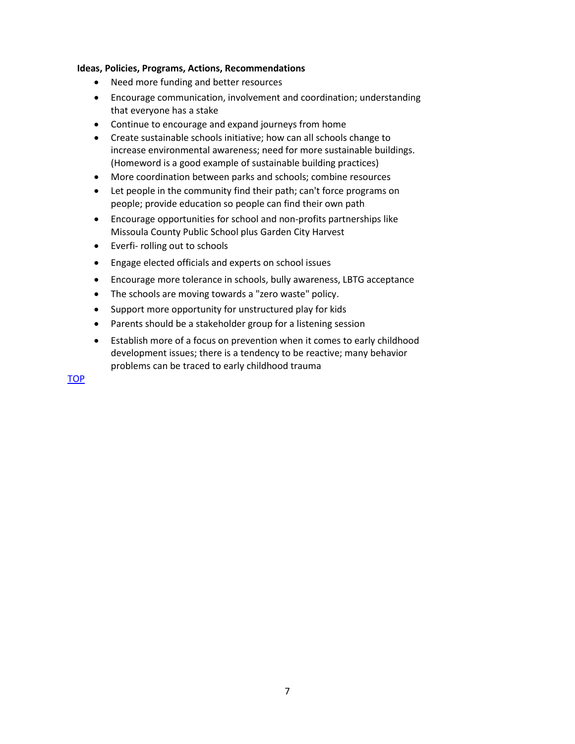- Need more funding and better resources
- Encourage communication, involvement and coordination; understanding that everyone has a stake
- Continue to encourage and expand journeys from home
- Create sustainable schools initiative; how can all schools change to increase environmental awareness; need for more sustainable buildings. (Homeword is a good example of sustainable building practices)
- More coordination between parks and schools; combine resources
- Let people in the community find their path; can't force programs on people; provide education so people can find their own path
- Encourage opportunities for school and non-profits partnerships like Missoula County Public School plus Garden City Harvest
- Everfi- rolling out to schools
- Engage elected officials and experts on school issues
- Encourage more tolerance in schools, bully awareness, LBTG acceptance
- The schools are moving towards a "zero waste" policy.
- Support more opportunity for unstructured play for kids
- Parents should be a stakeholder group for a listening session
- Establish more of a focus on prevention when it comes to early childhood development issues; there is a tendency to be reactive; many behavior problems can be traced to early childhood trauma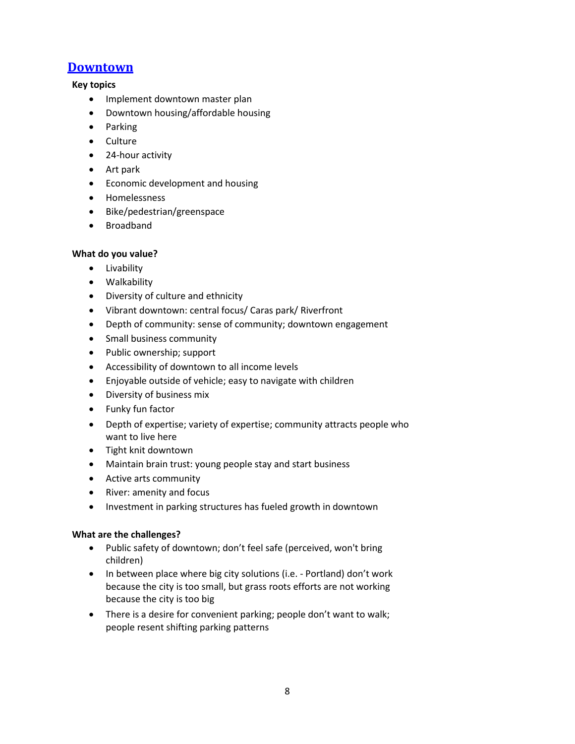# <span id="page-7-0"></span>**[Downtown](#page-0-0)**

#### **Key topics**

- Implement downtown master plan
- Downtown housing/affordable housing
- Parking
- Culture
- 24-hour activity
- Art park
- Economic development and housing
- Homelessness
- Bike/pedestrian/greenspace
- Broadband

# **What do you value?**

- **•** Livability
- Walkability
- Diversity of culture and ethnicity
- Vibrant downtown: central focus/ Caras park/ Riverfront
- Depth of community: sense of community; downtown engagement
- Small business community
- Public ownership; support
- Accessibility of downtown to all income levels
- Enjoyable outside of vehicle; easy to navigate with children
- Diversity of business mix
- Funky fun factor
- Depth of expertise; variety of expertise; community attracts people who want to live here
- Tight knit downtown
- Maintain brain trust: young people stay and start business
- Active arts community
- River: amenity and focus
- Investment in parking structures has fueled growth in downtown

- Public safety of downtown; don't feel safe (perceived, won't bring children)
- In between place where big city solutions (i.e. Portland) don't work because the city is too small, but grass roots efforts are not working because the city is too big
- There is a desire for convenient parking; people don't want to walk; people resent shifting parking patterns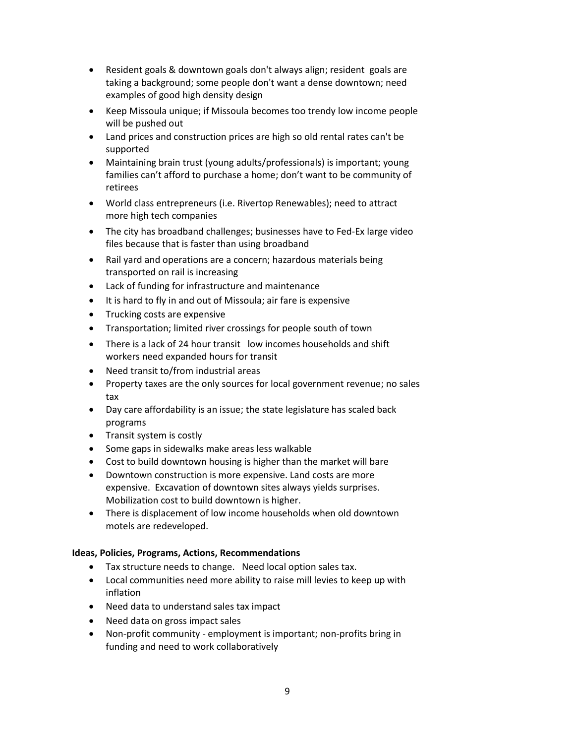- Resident goals & downtown goals don't always align; resident goals are taking a background; some people don't want a dense downtown; need examples of good high density design
- Keep Missoula unique; if Missoula becomes too trendy low income people will be pushed out
- Land prices and construction prices are high so old rental rates can't be supported
- Maintaining brain trust (young adults/professionals) is important; young families can't afford to purchase a home; don't want to be community of retirees
- World class entrepreneurs (i.e. Rivertop Renewables); need to attract more high tech companies
- The city has broadband challenges; businesses have to Fed-Ex large video files because that is faster than using broadband
- Rail yard and operations are a concern; hazardous materials being transported on rail is increasing
- Lack of funding for infrastructure and maintenance
- It is hard to fly in and out of Missoula; air fare is expensive
- Trucking costs are expensive
- Transportation; limited river crossings for people south of town
- There is a lack of 24 hour transit low incomes households and shift workers need expanded hours for transit
- Need transit to/from industrial areas
- Property taxes are the only sources for local government revenue; no sales tax
- Day care affordability is an issue; the state legislature has scaled back programs
- Transit system is costly
- Some gaps in sidewalks make areas less walkable
- Cost to build downtown housing is higher than the market will bare
- Downtown construction is more expensive. Land costs are more expensive. Excavation of downtown sites always yields surprises. Mobilization cost to build downtown is higher.
- There is displacement of low income households when old downtown motels are redeveloped.

- Tax structure needs to change. Need local option sales tax.
- Local communities need more ability to raise mill levies to keep up with inflation
- Need data to understand sales tax impact
- Need data on gross impact sales
- Non-profit community employment is important; non-profits bring in funding and need to work collaboratively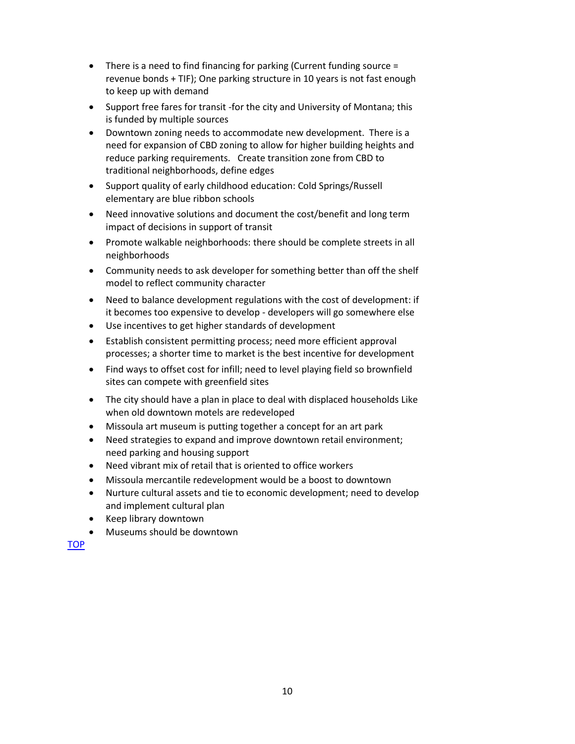- There is a need to find financing for parking (Current funding source = revenue bonds + TIF); One parking structure in 10 years is not fast enough to keep up with demand
- Support free fares for transit -for the city and University of Montana; this is funded by multiple sources
- Downtown zoning needs to accommodate new development. There is a need for expansion of CBD zoning to allow for higher building heights and reduce parking requirements. Create transition zone from CBD to traditional neighborhoods, define edges
- Support quality of early childhood education: Cold Springs/Russell elementary are blue ribbon schools
- Need innovative solutions and document the cost/benefit and long term impact of decisions in support of transit
- Promote walkable neighborhoods: there should be complete streets in all neighborhoods
- Community needs to ask developer for something better than off the shelf model to reflect community character
- Need to balance development regulations with the cost of development: if it becomes too expensive to develop - developers will go somewhere else
- Use incentives to get higher standards of development
- Establish consistent permitting process; need more efficient approval processes; a shorter time to market is the best incentive for development
- Find ways to offset cost for infill; need to level playing field so brownfield sites can compete with greenfield sites
- The city should have a plan in place to deal with displaced households Like when old downtown motels are redeveloped
- Missoula art museum is putting together a concept for an art park
- Need strategies to expand and improve downtown retail environment; need parking and housing support
- Need vibrant mix of retail that is oriented to office workers
- Missoula mercantile redevelopment would be a boost to downtown
- Nurture cultural assets and tie to economic development; need to develop and implement cultural plan
- Keep library downtown
- Museums should be downtown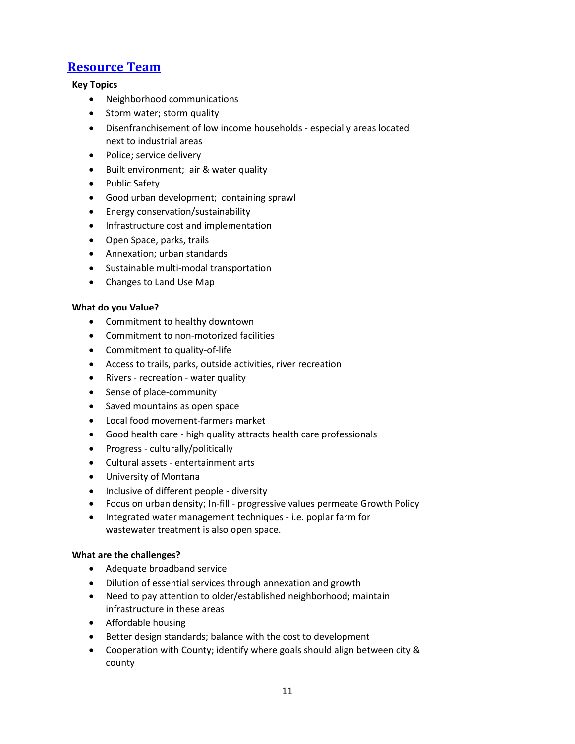# <span id="page-10-0"></span>**[Resource Team](#page-0-0)**

#### **Key Topics**

- Neighborhood communications
- Storm water; storm quality
- Disenfranchisement of low income households especially areas located next to industrial areas
- Police; service delivery
- Built environment; air & water quality
- Public Safety
- Good urban development; containing sprawl
- Energy conservation/sustainability
- Infrastructure cost and implementation
- Open Space, parks, trails
- Annexation; urban standards
- Sustainable multi-modal transportation
- Changes to Land Use Map

#### **What do you Value?**

- Commitment to healthy downtown
- Commitment to non-motorized facilities
- Commitment to quality-of-life
- Access to trails, parks, outside activities, river recreation
- Rivers recreation water quality
- Sense of place-community
- Saved mountains as open space
- Local food movement-farmers market
- Good health care high quality attracts health care professionals
- Progress culturally/politically
- Cultural assets entertainment arts
- University of Montana
- Inclusive of different people diversity
- Focus on urban density; In-fill progressive values permeate Growth Policy
- Integrated water management techniques i.e. poplar farm for wastewater treatment is also open space.

- Adequate broadband service
- Dilution of essential services through annexation and growth
- Need to pay attention to older/established neighborhood; maintain infrastructure in these areas
- Affordable housing
- Better design standards; balance with the cost to development
- Cooperation with County; identify where goals should align between city & county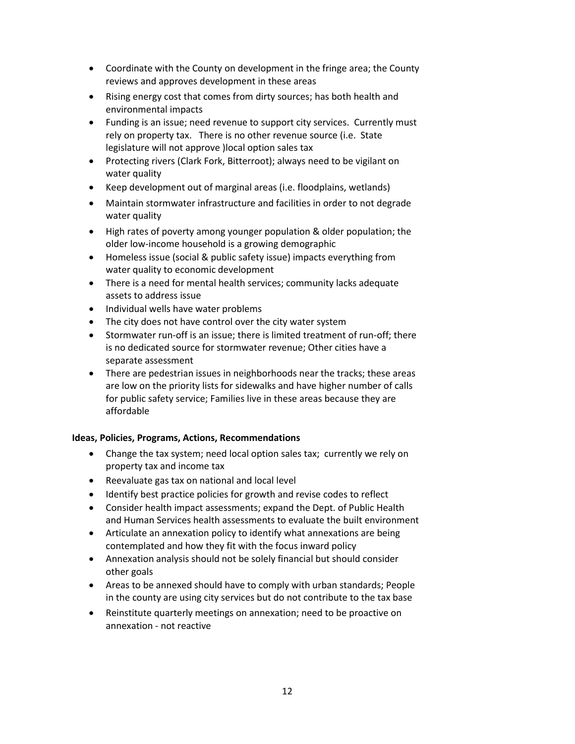- Coordinate with the County on development in the fringe area; the County reviews and approves development in these areas
- Rising energy cost that comes from dirty sources; has both health and environmental impacts
- Funding is an issue; need revenue to support city services. Currently must rely on property tax. There is no other revenue source (i.e. State legislature will not approve )local option sales tax
- Protecting rivers (Clark Fork, Bitterroot); always need to be vigilant on water quality
- Keep development out of marginal areas (i.e. floodplains, wetlands)
- Maintain stormwater infrastructure and facilities in order to not degrade water quality
- High rates of poverty among younger population & older population; the older low-income household is a growing demographic
- Homeless issue (social & public safety issue) impacts everything from water quality to economic development
- There is a need for mental health services; community lacks adequate assets to address issue
- Individual wells have water problems
- The city does not have control over the city water system
- Stormwater run-off is an issue; there is limited treatment of run-off; there is no dedicated source for stormwater revenue; Other cities have a separate assessment
- There are pedestrian issues in neighborhoods near the tracks; these areas are low on the priority lists for sidewalks and have higher number of calls for public safety service; Families live in these areas because they are affordable

- Change the tax system; need local option sales tax; currently we rely on property tax and income tax
- Reevaluate gas tax on national and local level
- Identify best practice policies for growth and revise codes to reflect
- Consider health impact assessments; expand the Dept. of Public Health and Human Services health assessments to evaluate the built environment
- Articulate an annexation policy to identify what annexations are being contemplated and how they fit with the focus inward policy
- Annexation analysis should not be solely financial but should consider other goals
- Areas to be annexed should have to comply with urban standards; People in the county are using city services but do not contribute to the tax base
- Reinstitute quarterly meetings on annexation; need to be proactive on annexation - not reactive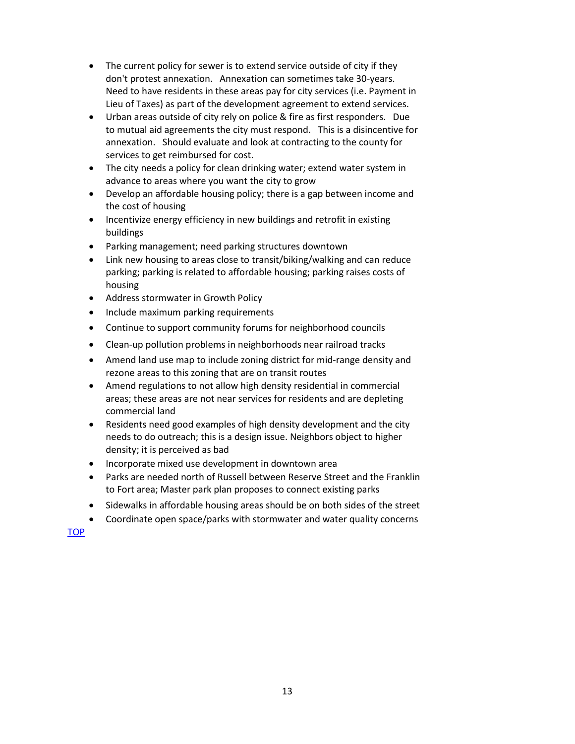- The current policy for sewer is to extend service outside of city if they don't protest annexation. Annexation can sometimes take 30-years. Need to have residents in these areas pay for city services (i.e. Payment in Lieu of Taxes) as part of the development agreement to extend services.
- Urban areas outside of city rely on police & fire as first responders. Due to mutual aid agreements the city must respond. This is a disincentive for annexation. Should evaluate and look at contracting to the county for services to get reimbursed for cost.
- The city needs a policy for clean drinking water; extend water system in advance to areas where you want the city to grow
- Develop an affordable housing policy; there is a gap between income and the cost of housing
- Incentivize energy efficiency in new buildings and retrofit in existing buildings
- Parking management; need parking structures downtown
- Link new housing to areas close to transit/biking/walking and can reduce parking; parking is related to affordable housing; parking raises costs of housing
- Address stormwater in Growth Policy
- Include maximum parking requirements
- Continue to support community forums for neighborhood councils
- Clean-up pollution problems in neighborhoods near railroad tracks
- Amend land use map to include zoning district for mid-range density and rezone areas to this zoning that are on transit routes
- Amend regulations to not allow high density residential in commercial areas; these areas are not near services for residents and are depleting commercial land
- Residents need good examples of high density development and the city needs to do outreach; this is a design issue. Neighbors object to higher density; it is perceived as bad
- Incorporate mixed use development in downtown area
- Parks are needed north of Russell between Reserve Street and the Franklin to Fort area; Master park plan proposes to connect existing parks
- Sidewalks in affordable housing areas should be on both sides of the street
- Coordinate open space/parks with stormwater and water quality concerns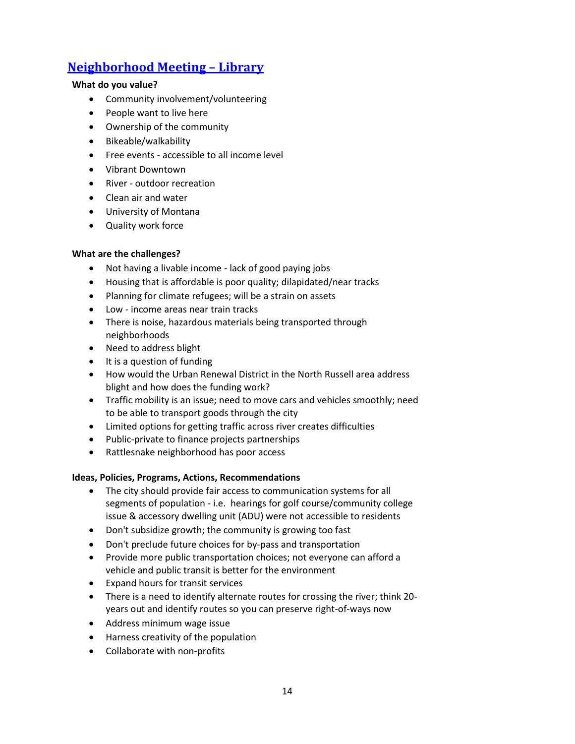# <span id="page-13-0"></span>**[Neighborhood Meeting](#page-0-0) – Library**

### **What do you value?**

- Community involvement/volunteering
- People want to live here
- Ownership of the community
- Bikeable/walkability
- Free events accessible to all income level
- Vibrant Downtown
- River outdoor recreation
- Clean air and water
- University of Montana
- Quality work force

#### **What are the challenges?**

- Not having a livable income lack of good paying jobs
- Housing that is affordable is poor quality; dilapidated/near tracks
- Planning for climate refugees; will be a strain on assets
- Low income areas near train tracks
- There is noise, hazardous materials being transported through neighborhoods
- Need to address blight
- It is a question of funding
- How would the Urban Renewal District in the North Russell area address blight and how does the funding work?
- Traffic mobility is an issue; need to move cars and vehicles smoothly; need to be able to transport goods through the city
- Limited options for getting traffic across river creates difficulties
- Public-private to finance projects partnerships
- Rattlesnake neighborhood has poor access

#### **Ideas, Policies, Programs, Actions, Recommendations**

- The city should provide fair access to communication systems for all segments of population - i.e. hearings for golf course/community college issue & accessory dwelling unit (ADU) were not accessible to residents
- Don't subsidize growth; the community is growing too fast
- Don't preclude future choices for by-pass and transportation
- Provide more public transportation choices; not everyone can afford a vehicle and public transit is better for the environment
- Expand hours for transit services
- There is a need to identify alternate routes for crossing the river; think 20 years out and identify routes so you can preserve right-of-ways now
- Address minimum wage issue
- Harness creativity of the population
- Collaborate with non-profits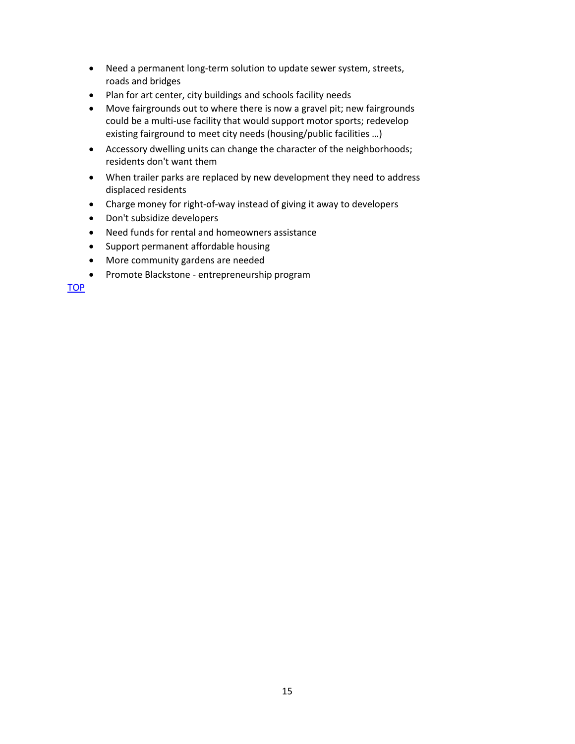- Need a permanent long-term solution to update sewer system, streets, roads and bridges
- Plan for art center, city buildings and schools facility needs
- Move fairgrounds out to where there is now a gravel pit; new fairgrounds could be a multi-use facility that would support motor sports; redevelop existing fairground to meet city needs (housing/public facilities …)
- Accessory dwelling units can change the character of the neighborhoods; residents don't want them
- When trailer parks are replaced by new development they need to address displaced residents
- Charge money for right-of-way instead of giving it away to developers
- Don't subsidize developers
- Need funds for rental and homeowners assistance
- Support permanent affordable housing
- More community gardens are needed
- Promote Blackstone entrepreneurship program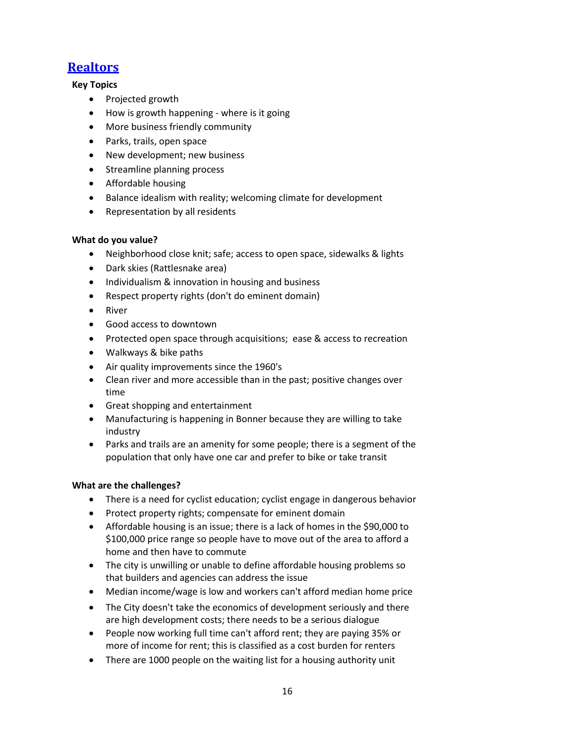# <span id="page-15-0"></span>**[Realtors](#page-0-0)**

# **Key Topics**

- Projected growth
- How is growth happening where is it going
- More business friendly community
- Parks, trails, open space
- New development; new business
- Streamline planning process
- Affordable housing
- Balance idealism with reality; welcoming climate for development
- Representation by all residents

# **What do you value?**

- Neighborhood close knit; safe; access to open space, sidewalks & lights
- Dark skies (Rattlesnake area)
- Individualism & innovation in housing and business
- Respect property rights (don't do eminent domain)
- River
- Good access to downtown
- Protected open space through acquisitions; ease & access to recreation
- Walkways & bike paths
- Air quality improvements since the 1960's
- Clean river and more accessible than in the past; positive changes over time
- Great shopping and entertainment
- Manufacturing is happening in Bonner because they are willing to take industry
- Parks and trails are an amenity for some people; there is a segment of the population that only have one car and prefer to bike or take transit

- There is a need for cyclist education; cyclist engage in dangerous behavior
- Protect property rights; compensate for eminent domain
- Affordable housing is an issue; there is a lack of homes in the \$90,000 to \$100,000 price range so people have to move out of the area to afford a home and then have to commute
- The city is unwilling or unable to define affordable housing problems so that builders and agencies can address the issue
- Median income/wage is low and workers can't afford median home price
- The City doesn't take the economics of development seriously and there are high development costs; there needs to be a serious dialogue
- People now working full time can't afford rent; they are paying 35% or more of income for rent; this is classified as a cost burden for renters
- There are 1000 people on the waiting list for a housing authority unit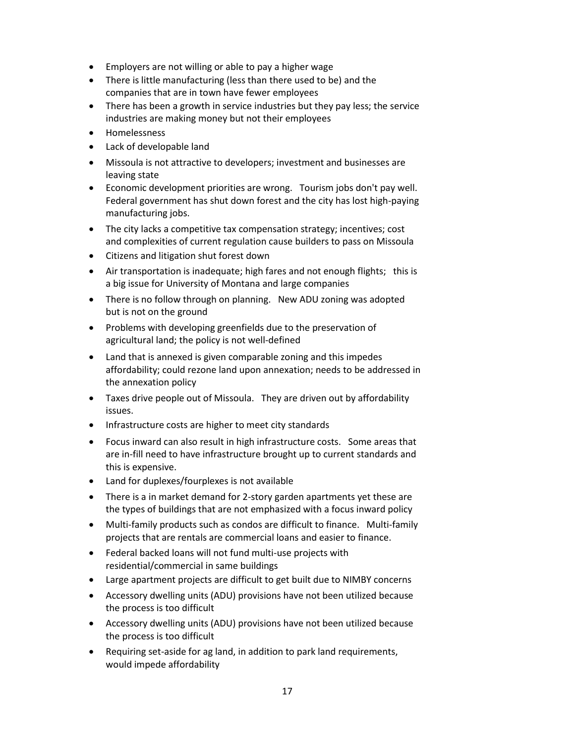- Employers are not willing or able to pay a higher wage
- There is little manufacturing (less than there used to be) and the companies that are in town have fewer employees
- There has been a growth in service industries but they pay less; the service industries are making money but not their employees
- Homelessness
- Lack of developable land
- Missoula is not attractive to developers; investment and businesses are leaving state
- Economic development priorities are wrong. Tourism jobs don't pay well. Federal government has shut down forest and the city has lost high-paying manufacturing jobs.
- The city lacks a competitive tax compensation strategy; incentives; cost and complexities of current regulation cause builders to pass on Missoula
- Citizens and litigation shut forest down
- Air transportation is inadequate; high fares and not enough flights; this is a big issue for University of Montana and large companies
- There is no follow through on planning. New ADU zoning was adopted but is not on the ground
- Problems with developing greenfields due to the preservation of agricultural land; the policy is not well-defined
- Land that is annexed is given comparable zoning and this impedes affordability; could rezone land upon annexation; needs to be addressed in the annexation policy
- Taxes drive people out of Missoula. They are driven out by affordability issues.
- Infrastructure costs are higher to meet city standards
- Focus inward can also result in high infrastructure costs. Some areas that are in-fill need to have infrastructure brought up to current standards and this is expensive.
- Land for duplexes/fourplexes is not available
- There is a in market demand for 2-story garden apartments yet these are the types of buildings that are not emphasized with a focus inward policy
- Multi-family products such as condos are difficult to finance. Multi-family projects that are rentals are commercial loans and easier to finance.
- Federal backed loans will not fund multi-use projects with residential/commercial in same buildings
- Large apartment projects are difficult to get built due to NIMBY concerns
- Accessory dwelling units (ADU) provisions have not been utilized because the process is too difficult
- Accessory dwelling units (ADU) provisions have not been utilized because the process is too difficult
- Requiring set-aside for ag land, in addition to park land requirements, would impede affordability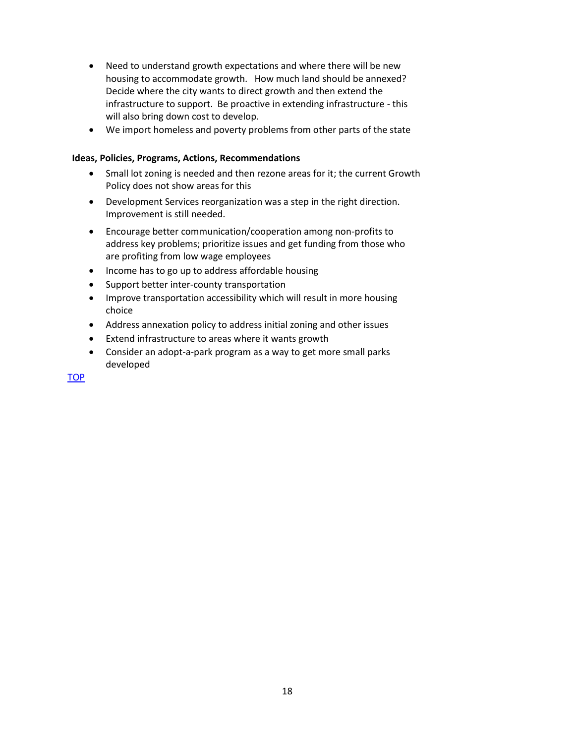- Need to understand growth expectations and where there will be new housing to accommodate growth. How much land should be annexed? Decide where the city wants to direct growth and then extend the infrastructure to support. Be proactive in extending infrastructure - this will also bring down cost to develop.
- We import homeless and poverty problems from other parts of the state

- Small lot zoning is needed and then rezone areas for it; the current Growth Policy does not show areas for this
- Development Services reorganization was a step in the right direction. Improvement is still needed.
- Encourage better communication/cooperation among non-profits to address key problems; prioritize issues and get funding from those who are profiting from low wage employees
- Income has to go up to address affordable housing
- Support better inter-county transportation
- Improve transportation accessibility which will result in more housing choice
- Address annexation policy to address initial zoning and other issues
- Extend infrastructure to areas where it wants growth
- Consider an adopt-a-park program as a way to get more small parks developed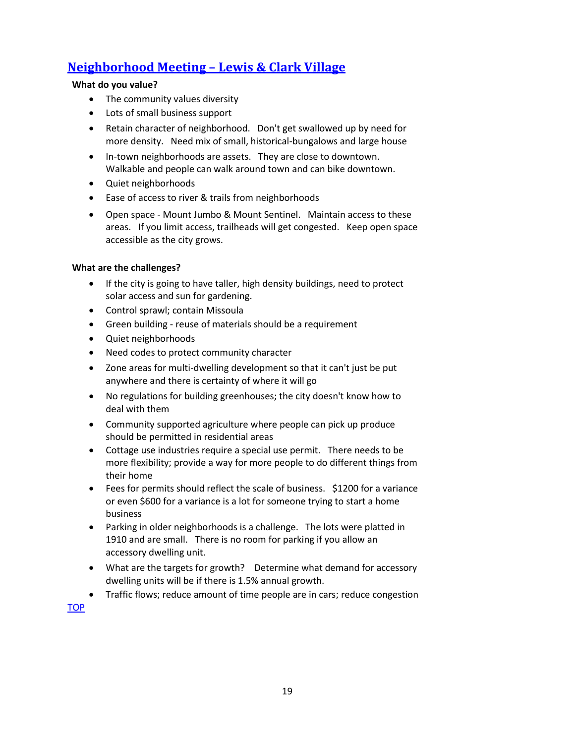# <span id="page-18-0"></span>**[Neighborhood Meeting](#page-0-0) – Lewis & Clark Village**

### **What do you value?**

- The community values diversity
- Lots of small business support
- Retain character of neighborhood. Don't get swallowed up by need for more density. Need mix of small, historical-bungalows and large house
- In-town neighborhoods are assets. They are close to downtown. Walkable and people can walk around town and can bike downtown.
- Quiet neighborhoods
- Ease of access to river & trails from neighborhoods
- Open space Mount Jumbo & Mount Sentinel. Maintain access to these areas. If you limit access, trailheads will get congested. Keep open space accessible as the city grows.

# **What are the challenges?**

- If the city is going to have taller, high density buildings, need to protect solar access and sun for gardening.
- Control sprawl; contain Missoula
- Green building reuse of materials should be a requirement
- Quiet neighborhoods
- Need codes to protect community character
- Zone areas for multi-dwelling development so that it can't just be put anywhere and there is certainty of where it will go
- No regulations for building greenhouses; the city doesn't know how to deal with them
- Community supported agriculture where people can pick up produce should be permitted in residential areas
- Cottage use industries require a special use permit. There needs to be more flexibility; provide a way for more people to do different things from their home
- Fees for permits should reflect the scale of business. \$1200 for a variance or even \$600 for a variance is a lot for someone trying to start a home business
- Parking in older neighborhoods is a challenge. The lots were platted in 1910 and are small. There is no room for parking if you allow an accessory dwelling unit.
- What are the targets for growth? Determine what demand for accessory dwelling units will be if there is 1.5% annual growth.
- <span id="page-18-1"></span>Traffic flows; reduce amount of time people are in cars; reduce congestion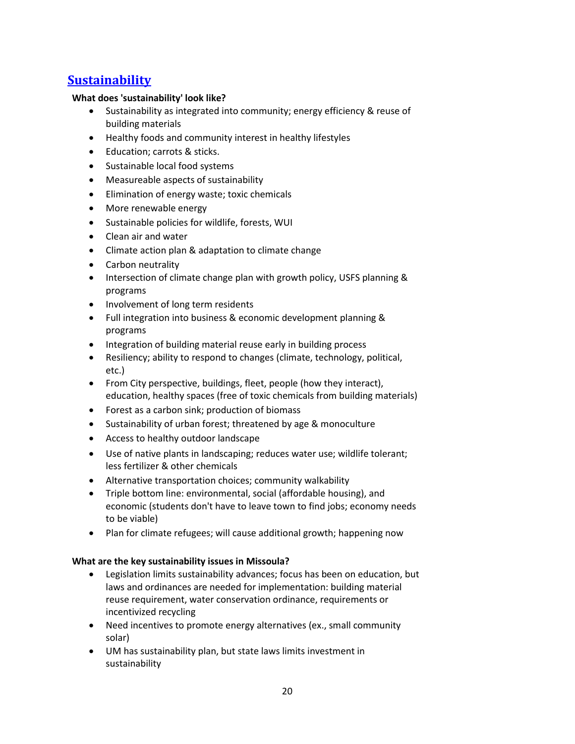# **[Sustainability](#page-0-0)**

### **What does 'sustainability' look like?**

- Sustainability as integrated into community; energy efficiency & reuse of building materials
- Healthy foods and community interest in healthy lifestyles
- Education: carrots & sticks.
- Sustainable local food systems
- Measureable aspects of sustainability
- Elimination of energy waste; toxic chemicals
- More renewable energy
- Sustainable policies for wildlife, forests, WUI
- Clean air and water
- Climate action plan & adaptation to climate change
- Carbon neutrality
- Intersection of climate change plan with growth policy, USFS planning & programs
- Involvement of long term residents
- Full integration into business & economic development planning & programs
- Integration of building material reuse early in building process
- Resiliency; ability to respond to changes (climate, technology, political, etc.)
- From City perspective, buildings, fleet, people (how they interact), education, healthy spaces (free of toxic chemicals from building materials)
- Forest as a carbon sink; production of biomass
- Sustainability of urban forest; threatened by age & monoculture
- Access to healthy outdoor landscape
- Use of native plants in landscaping; reduces water use; wildlife tolerant; less fertilizer & other chemicals
- Alternative transportation choices; community walkability
- Triple bottom line: environmental, social (affordable housing), and economic (students don't have to leave town to find jobs; economy needs to be viable)
- Plan for climate refugees; will cause additional growth; happening now

# **What are the key sustainability issues in Missoula?**

- Legislation limits sustainability advances; focus has been on education, but laws and ordinances are needed for implementation: building material reuse requirement, water conservation ordinance, requirements or incentivized recycling
- Need incentives to promote energy alternatives (ex., small community solar)
- UM has sustainability plan, but state laws limits investment in sustainability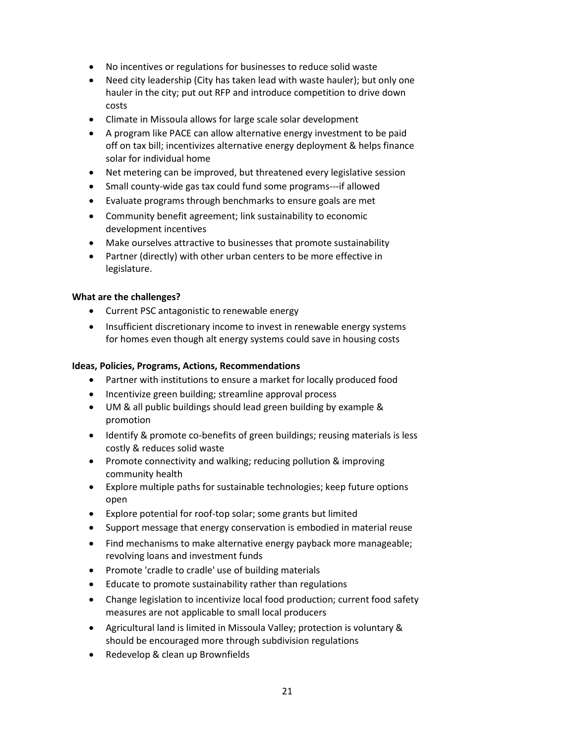- No incentives or regulations for businesses to reduce solid waste
- Need city leadership (City has taken lead with waste hauler); but only one hauler in the city; put out RFP and introduce competition to drive down costs
- Climate in Missoula allows for large scale solar development
- A program like PACE can allow alternative energy investment to be paid off on tax bill; incentivizes alternative energy deployment & helps finance solar for individual home
- Net metering can be improved, but threatened every legislative session
- Small county-wide gas tax could fund some programs---if allowed
- Evaluate programs through benchmarks to ensure goals are met
- Community benefit agreement; link sustainability to economic development incentives
- Make ourselves attractive to businesses that promote sustainability
- Partner (directly) with other urban centers to be more effective in legislature.

#### **What are the challenges?**

- Current PSC antagonistic to renewable energy
- Insufficient discretionary income to invest in renewable energy systems for homes even though alt energy systems could save in housing costs

#### **Ideas, Policies, Programs, Actions, Recommendations**

- Partner with institutions to ensure a market for locally produced food
- Incentivize green building; streamline approval process
- UM & all public buildings should lead green building by example & promotion
- Identify & promote co-benefits of green buildings; reusing materials is less costly & reduces solid waste
- Promote connectivity and walking; reducing pollution & improving community health
- Explore multiple paths for sustainable technologies; keep future options open
- Explore potential for roof-top solar; some grants but limited
- Support message that energy conservation is embodied in material reuse
- Find mechanisms to make alternative energy payback more manageable; revolving loans and investment funds
- Promote 'cradle to cradle' use of building materials
- Educate to promote sustainability rather than regulations
- Change legislation to incentivize local food production; current food safety measures are not applicable to small local producers
- Agricultural land is limited in Missoula Valley; protection is voluntary & should be encouraged more through subdivision regulations
- Redevelop & clean up Brownfields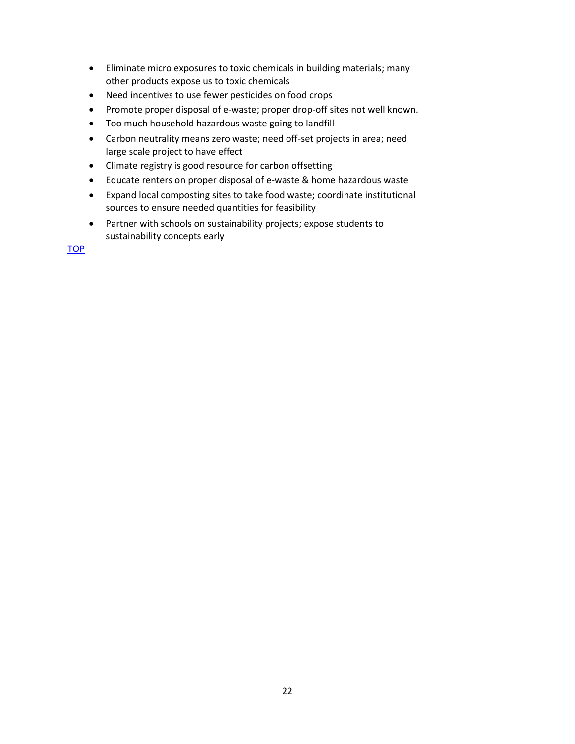- Eliminate micro exposures to toxic chemicals in building materials; many other products expose us to toxic chemicals
- Need incentives to use fewer pesticides on food crops
- Promote proper disposal of e-waste; proper drop-off sites not well known.
- Too much household hazardous waste going to landfill
- Carbon neutrality means zero waste; need off-set projects in area; need large scale project to have effect
- Climate registry is good resource for carbon offsetting
- Educate renters on proper disposal of e-waste & home hazardous waste
- Expand local composting sites to take food waste; coordinate institutional sources to ensure needed quantities for feasibility
- Partner with schools on sustainability projects; expose students to sustainability concepts early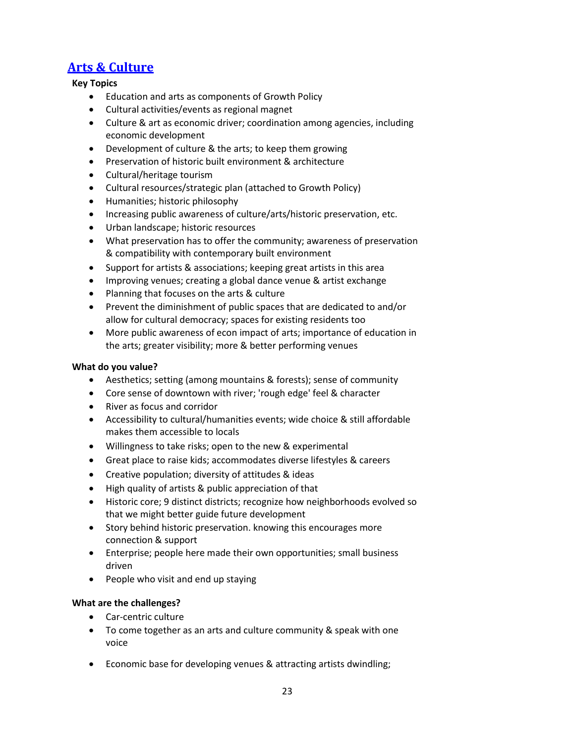# **[Arts & Culture](#page-0-0)**

# <span id="page-22-0"></span>**Key Topics**

- Education and arts as components of Growth Policy
- Cultural activities/events as regional magnet
- Culture & art as economic driver; coordination among agencies, including economic development
- Development of culture & the arts; to keep them growing
- Preservation of historic built environment & architecture
- Cultural/heritage tourism
- Cultural resources/strategic plan (attached to Growth Policy)
- Humanities; historic philosophy
- Increasing public awareness of culture/arts/historic preservation, etc.
- Urban landscape; historic resources
- What preservation has to offer the community; awareness of preservation & compatibility with contemporary built environment
- Support for artists & associations; keeping great artists in this area
- Improving venues; creating a global dance venue & artist exchange
- Planning that focuses on the arts & culture
- Prevent the diminishment of public spaces that are dedicated to and/or allow for cultural democracy; spaces for existing residents too
- More public awareness of econ impact of arts; importance of education in the arts; greater visibility; more & better performing venues

#### **What do you value?**

- Aesthetics; setting (among mountains & forests); sense of community
- Core sense of downtown with river; 'rough edge' feel & character
- River as focus and corridor
- Accessibility to cultural/humanities events; wide choice & still affordable makes them accessible to locals
- Willingness to take risks; open to the new & experimental
- Great place to raise kids; accommodates diverse lifestyles & careers
- Creative population; diversity of attitudes & ideas
- High quality of artists & public appreciation of that
- Historic core; 9 distinct districts; recognize how neighborhoods evolved so that we might better guide future development
- Story behind historic preservation. knowing this encourages more connection & support
- Enterprise; people here made their own opportunities; small business driven
- People who visit and end up staying

- Car-centric culture
- To come together as an arts and culture community & speak with one voice
- Economic base for developing venues & attracting artists dwindling;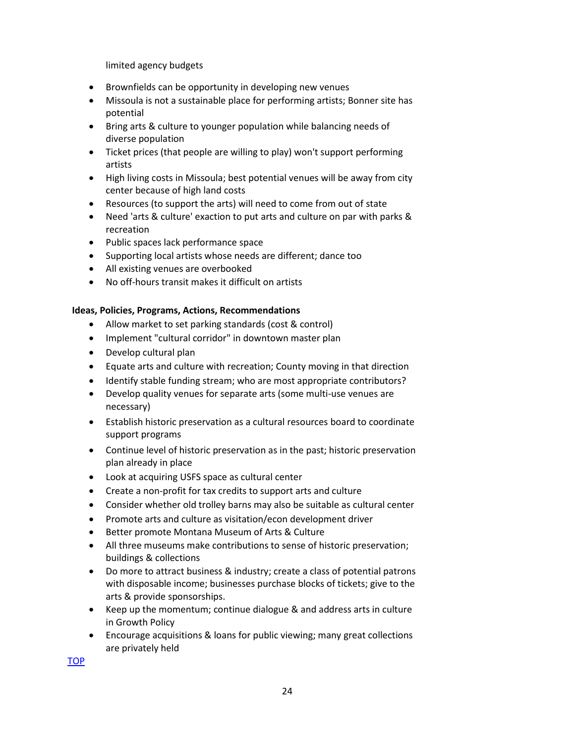limited agency budgets

- Brownfields can be opportunity in developing new venues
- Missoula is not a sustainable place for performing artists; Bonner site has potential
- Bring arts & culture to younger population while balancing needs of diverse population
- Ticket prices (that people are willing to play) won't support performing artists
- High living costs in Missoula; best potential venues will be away from city center because of high land costs
- Resources (to support the arts) will need to come from out of state
- Need 'arts & culture' exaction to put arts and culture on par with parks & recreation
- Public spaces lack performance space
- Supporting local artists whose needs are different; dance too
- All existing venues are overbooked
- No off-hours transit makes it difficult on artists

#### **Ideas, Policies, Programs, Actions, Recommendations**

- Allow market to set parking standards (cost & control)
- Implement "cultural corridor" in downtown master plan
- Develop cultural plan
- Equate arts and culture with recreation; County moving in that direction
- Identify stable funding stream; who are most appropriate contributors?
- Develop quality venues for separate arts (some multi-use venues are necessary)
- Establish historic preservation as a cultural resources board to coordinate support programs
- Continue level of historic preservation as in the past; historic preservation plan already in place
- Look at acquiring USFS space as cultural center
- Create a non-profit for tax credits to support arts and culture
- Consider whether old trolley barns may also be suitable as cultural center
- Promote arts and culture as visitation/econ development driver
- Better promote Montana Museum of Arts & Culture
- All three museums make contributions to sense of historic preservation; buildings & collections
- Do more to attract business & industry; create a class of potential patrons with disposable income; businesses purchase blocks of tickets; give to the arts & provide sponsorships.
- Keep up the momentum; continue dialogue & and address arts in culture in Growth Policy
- Encourage acquisitions & loans for public viewing; many great collections are privately held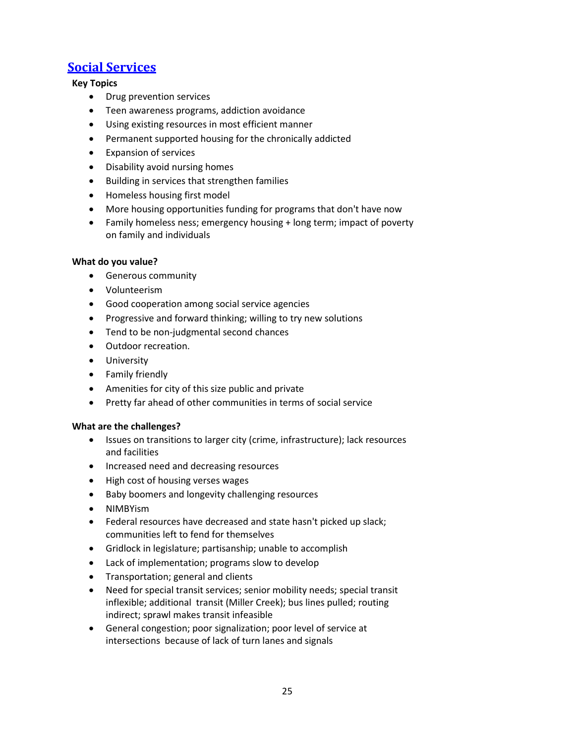# **[Social Services](#page-0-0)**

# <span id="page-24-0"></span>**Key Topics**

- Drug prevention services
- Teen awareness programs, addiction avoidance
- Using existing resources in most efficient manner
- Permanent supported housing for the chronically addicted
- Expansion of services
- Disability avoid nursing homes
- Building in services that strengthen families
- Homeless housing first model
- More housing opportunities funding for programs that don't have now
- Family homeless ness; emergency housing + long term; impact of poverty on family and individuals

# **What do you value?**

- Generous community
- Volunteerism
- Good cooperation among social service agencies
- Progressive and forward thinking; willing to try new solutions
- Tend to be non-judgmental second chances
- Outdoor recreation.
- **•** University
- Family friendly
- Amenities for city of this size public and private
- Pretty far ahead of other communities in terms of social service

- Issues on transitions to larger city (crime, infrastructure); lack resources and facilities
- Increased need and decreasing resources
- High cost of housing verses wages
- Baby boomers and longevity challenging resources
- NIMBYism
- Federal resources have decreased and state hasn't picked up slack; communities left to fend for themselves
- Gridlock in legislature; partisanship; unable to accomplish
- Lack of implementation; programs slow to develop
- Transportation; general and clients
- Need for special transit services; senior mobility needs; special transit inflexible; additional transit (Miller Creek); bus lines pulled; routing indirect; sprawl makes transit infeasible
- General congestion; poor signalization; poor level of service at intersections because of lack of turn lanes and signals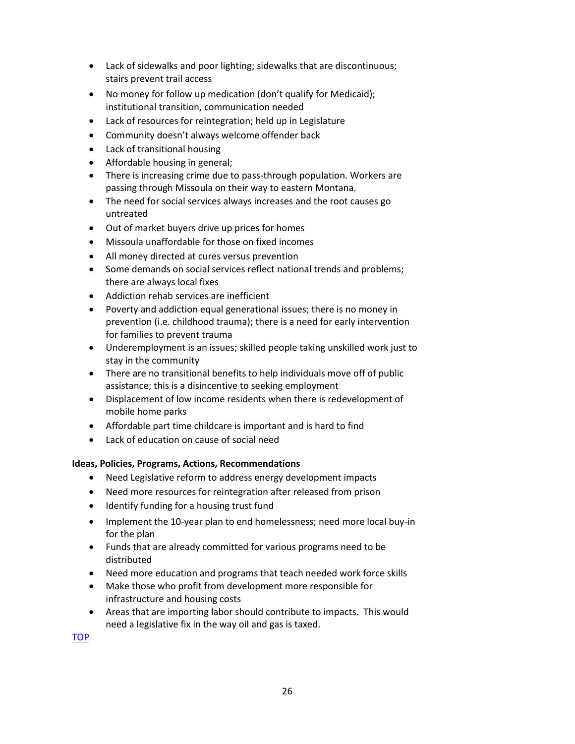- Lack of sidewalks and poor lighting; sidewalks that are discontinuous; stairs prevent trail access
- No money for follow up medication (don't qualify for Medicaid); institutional transition, communication needed
- Lack of resources for reintegration; held up in Legislature
- Community doesn't always welcome offender back
- Lack of transitional housing
- Affordable housing in general;
- There is increasing crime due to pass-through population. Workers are passing through Missoula on their way to eastern Montana.
- The need for social services always increases and the root causes go untreated
- Out of market buyers drive up prices for homes
- Missoula unaffordable for those on fixed incomes
- All money directed at cures versus prevention
- Some demands on social services reflect national trends and problems; there are always local fixes
- Addiction rehab services are inefficient
- Poverty and addiction equal generational issues; there is no money in prevention (i.e. childhood trauma); there is a need for early intervention for families to prevent trauma
- Underemployment is an issues; skilled people taking unskilled work just to stay in the community
- There are no transitional benefits to help individuals move off of public assistance; this is a disincentive to seeking employment
- Displacement of low income residents when there is redevelopment of mobile home parks
- Affordable part time childcare is important and is hard to find
- Lack of education on cause of social need

- Need Legislative reform to address energy development impacts
- Need more resources for reintegration after released from prison
- Identify funding for a housing trust fund
- Implement the 10-year plan to end homelessness; need more local buy-in for the plan
- Funds that are already committed for various programs need to be distributed
- Need more education and programs that teach needed work force skills
- Make those who profit from development more responsible for infrastructure and housing costs
- Areas that are importing labor should contribute to impacts. This would need a legislative fix in the way oil and gas is taxed.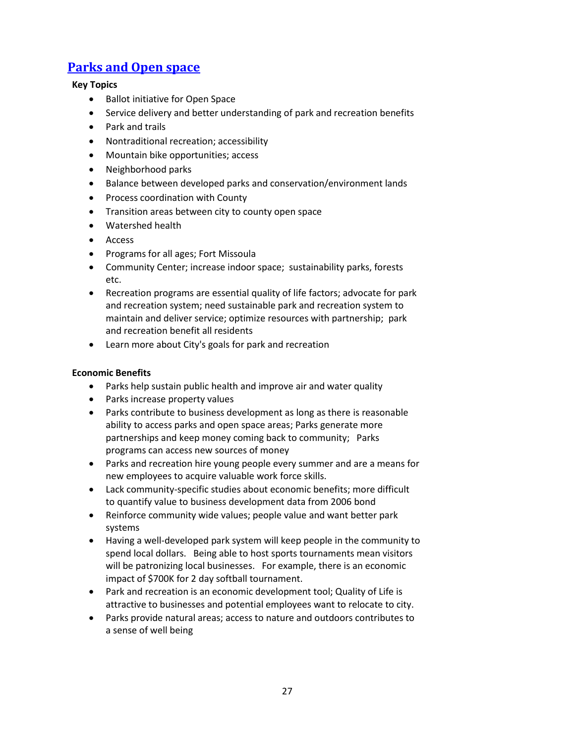# <span id="page-26-0"></span>**[Parks and Open space](#page-0-0)**

# **Key Topics**

- Ballot initiative for Open Space
- Service delivery and better understanding of park and recreation benefits
- Park and trails
- Nontraditional recreation; accessibility
- Mountain bike opportunities; access
- Neighborhood parks
- Balance between developed parks and conservation/environment lands
- Process coordination with County
- Transition areas between city to county open space
- Watershed health
- Access
- Programs for all ages; Fort Missoula
- Community Center; increase indoor space; sustainability parks, forests etc.
- Recreation programs are essential quality of life factors; advocate for park and recreation system; need sustainable park and recreation system to maintain and deliver service; optimize resources with partnership; park and recreation benefit all residents
- Learn more about City's goals for park and recreation

#### **Economic Benefits**

- Parks help sustain public health and improve air and water quality
- Parks increase property values
- Parks contribute to business development as long as there is reasonable ability to access parks and open space areas; Parks generate more partnerships and keep money coming back to community; Parks programs can access new sources of money
- Parks and recreation hire young people every summer and are a means for new employees to acquire valuable work force skills.
- Lack community-specific studies about economic benefits; more difficult to quantify value to business development data from 2006 bond
- Reinforce community wide values; people value and want better park systems
- Having a well-developed park system will keep people in the community to spend local dollars. Being able to host sports tournaments mean visitors will be patronizing local businesses. For example, there is an economic impact of \$700K for 2 day softball tournament.
- Park and recreation is an economic development tool; Quality of Life is attractive to businesses and potential employees want to relocate to city.
- Parks provide natural areas; access to nature and outdoors contributes to a sense of well being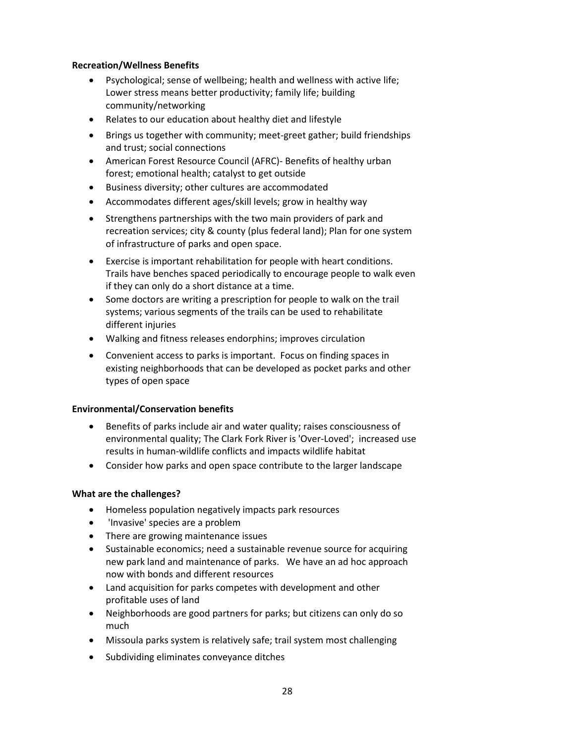#### **Recreation/Wellness Benefits**

- Psychological; sense of wellbeing; health and wellness with active life; Lower stress means better productivity; family life; building community/networking
- Relates to our education about healthy diet and lifestyle
- Brings us together with community; meet-greet gather; build friendships and trust; social connections
- American Forest Resource Council (AFRC)- Benefits of healthy urban forest; emotional health; catalyst to get outside
- Business diversity; other cultures are accommodated
- Accommodates different ages/skill levels; grow in healthy way
- Strengthens partnerships with the two main providers of park and recreation services; city & county (plus federal land); Plan for one system of infrastructure of parks and open space.
- Exercise is important rehabilitation for people with heart conditions. Trails have benches spaced periodically to encourage people to walk even if they can only do a short distance at a time.
- Some doctors are writing a prescription for people to walk on the trail systems; various segments of the trails can be used to rehabilitate different injuries
- Walking and fitness releases endorphins; improves circulation
- Convenient access to parks is important. Focus on finding spaces in existing neighborhoods that can be developed as pocket parks and other types of open space

#### **Environmental/Conservation benefits**

- Benefits of parks include air and water quality; raises consciousness of environmental quality; The Clark Fork River is 'Over-Loved'; increased use results in human-wildlife conflicts and impacts wildlife habitat
- Consider how parks and open space contribute to the larger landscape

- Homeless population negatively impacts park resources
- 'Invasive' species are a problem
- There are growing maintenance issues
- Sustainable economics; need a sustainable revenue source for acquiring new park land and maintenance of parks. We have an ad hoc approach now with bonds and different resources
- Land acquisition for parks competes with development and other profitable uses of land
- Neighborhoods are good partners for parks; but citizens can only do so much
- Missoula parks system is relatively safe; trail system most challenging
- Subdividing eliminates conveyance ditches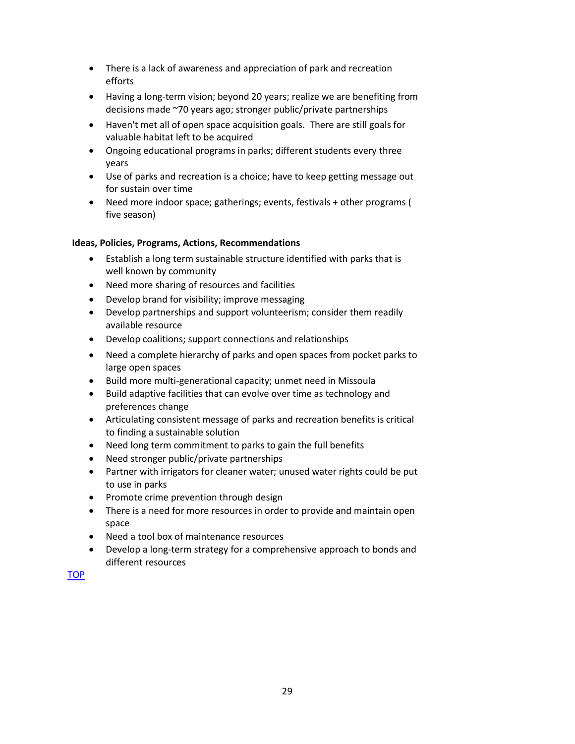- There is a lack of awareness and appreciation of park and recreation efforts
- Having a long-term vision; beyond 20 years; realize we are benefiting from decisions made ~70 years ago; stronger public/private partnerships
- Haven't met all of open space acquisition goals. There are still goals for valuable habitat left to be acquired
- Ongoing educational programs in parks; different students every three years
- Use of parks and recreation is a choice; have to keep getting message out for sustain over time
- Need more indoor space; gatherings; events, festivals + other programs ( five season)

- Establish a long term sustainable structure identified with parks that is well known by community
- Need more sharing of resources and facilities
- Develop brand for visibility; improve messaging
- Develop partnerships and support volunteerism; consider them readily available resource
- Develop coalitions; support connections and relationships
- Need a complete hierarchy of parks and open spaces from pocket parks to large open spaces
- Build more multi-generational capacity; unmet need in Missoula
- Build adaptive facilities that can evolve over time as technology and preferences change
- Articulating consistent message of parks and recreation benefits is critical to finding a sustainable solution
- Need long term commitment to parks to gain the full benefits
- Need stronger public/private partnerships
- Partner with irrigators for cleaner water; unused water rights could be put to use in parks
- Promote crime prevention through design
- There is a need for more resources in order to provide and maintain open space
- Need a tool box of maintenance resources
- Develop a long-term strategy for a comprehensive approach to bonds and different resources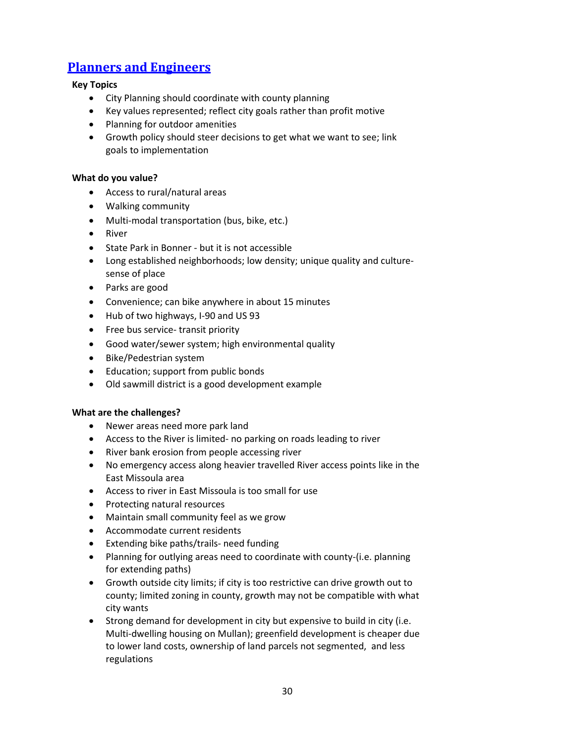# <span id="page-29-0"></span>**[Planners and Engineers](#page-0-0)**

#### **Key Topics**

- City Planning should coordinate with county planning
- Key values represented; reflect city goals rather than profit motive
- Planning for outdoor amenities
- Growth policy should steer decisions to get what we want to see; link goals to implementation

#### **What do you value?**

- Access to rural/natural areas
- Walking community
- Multi-modal transportation (bus, bike, etc.)
- River
- State Park in Bonner but it is not accessible
- Long established neighborhoods; low density; unique quality and culturesense of place
- Parks are good
- Convenience; can bike anywhere in about 15 minutes
- Hub of two highways, I-90 and US 93
- Free bus service- transit priority
- Good water/sewer system; high environmental quality
- Bike/Pedestrian system
- Education; support from public bonds
- Old sawmill district is a good development example

- Newer areas need more park land
- Access to the River is limited- no parking on roads leading to river
- River bank erosion from people accessing river
- No emergency access along heavier travelled River access points like in the East Missoula area
- Access to river in East Missoula is too small for use
- Protecting natural resources
- Maintain small community feel as we grow
- Accommodate current residents
- Extending bike paths/trails- need funding
- Planning for outlying areas need to coordinate with county-(i.e. planning for extending paths)
- Growth outside city limits; if city is too restrictive can drive growth out to county; limited zoning in county, growth may not be compatible with what city wants
- Strong demand for development in city but expensive to build in city (i.e. Multi-dwelling housing on Mullan); greenfield development is cheaper due to lower land costs, ownership of land parcels not segmented, and less regulations